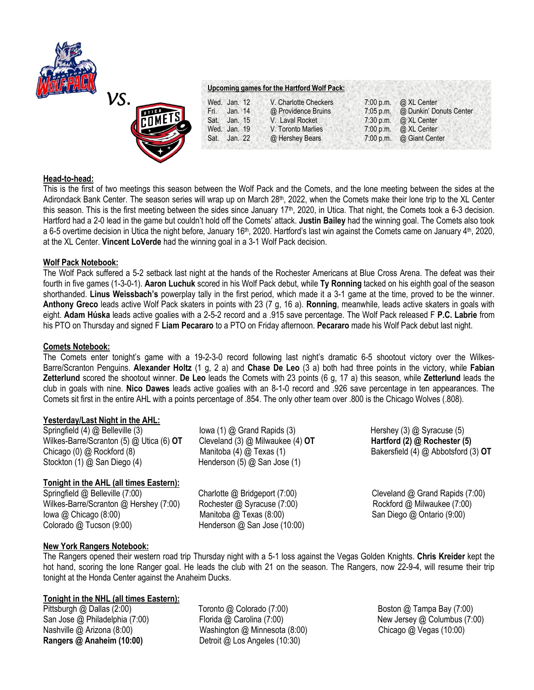



# **Upcoming games for the Hartford Wolf Pack:**

| Wed. Jan. 12 |         | V. Charlotte Checkers |             | 7:00 p.m. @ XL Center    |
|--------------|---------|-----------------------|-------------|--------------------------|
| Fri.         | Jan. 14 | @ Providence Bruins   | $7:05$ p.m. | @ Dunkin' Donuts Center  |
| Sat. Jan. 15 |         | V. Laval Rocket       |             | 7:30 p.m. @ XL Center    |
| Wed. Jan. 19 |         | V. Toronto Marlies    | $7:00$ p.m. | @ XL Center              |
| Sat. Jan. 22 |         | @ Hershey Bears       |             | 7:00 p.m. @ Giant Center |
|              |         |                       |             |                          |

#### **Head-to-head:**

This is the first of two meetings this season between the Wolf Pack and the Comets, and the lone meeting between the sides at the Adirondack Bank Center. The season series will wrap up on March 28th, 2022, when the Comets make their lone trip to the XL Center this season. This is the first meeting between the sides since January 17<sup>th</sup>, 2020, in Utica. That night, the Comets took a 6-3 decision. Hartford had a 2-0 lead in the game but couldn't hold off the Comets' attack. **Justin Bailey** had the winning goal. The Comets also took a 6-5 overtime decision in Utica the night before, January 16<sup>th</sup>, 2020. Hartford's last win against the Comets came on January 4<sup>th</sup>, 2020, at the XL Center. **Vincent LoVerde** had the winning goal in a 3-1 Wolf Pack decision.

#### **Wolf Pack Notebook:**

The Wolf Pack suffered a 5-2 setback last night at the hands of the Rochester Americans at Blue Cross Arena. The defeat was their fourth in five games (1-3-0-1). **Aaron Luchuk** scored in his Wolf Pack debut, while **Ty Ronning** tacked on his eighth goal of the season shorthanded. **Linus Weissbach's** powerplay tally in the first period, which made it a 3-1 game at the time, proved to be the winner. **Anthony Greco** leads active Wolf Pack skaters in points with 23 (7 g, 16 a). **Ronning**, meanwhile, leads active skaters in goals with eight. **Adam Húska** leads active goalies with a 2-5-2 record and a .915 save percentage. The Wolf Pack released F **P.C. Labrie** from his PTO on Thursday and signed F **Liam Pecararo** to a PTO on Friday afternoon. **Pecararo** made his Wolf Pack debut last night.

#### **Comets Notebook:**

The Comets enter tonight's game with a 19-2-3-0 record following last night's dramatic 6-5 shootout victory over the Wilkes-Barre/Scranton Penguins. **Alexander Holtz** (1 g, 2 a) and **Chase De Leo** (3 a) both had three points in the victory, while **Fabian Zetterlund** scored the shootout winner. **De Leo** leads the Comets with 23 points (6 g, 17 a) this season, while **Zetterlund** leads the club in goals with nine. **Nico Dawes** leads active goalies with an 8-1-0 record and .926 save percentage in ten appearances. The Comets sit first in the entire AHL with a points percentage of .854. The only other team over .800 is the Chicago Wolves (.808).

# **Yesterday/Last Night in the AHL:**

Springfield (4) @ Belleville (3) Iowa (1) @ Grand Rapids (3) Hershey (3) @ Syracuse (5) Wilkes-Barre/Scranton (5) @ Utica (6) **OT** Cleveland (3) @ Milwaukee (4) **OT** Hartford (2) @ Rochester (5) Chicago (0) @ Rockford (8) Manitoba (4) @ Texas (1) Bakersfield (4) @ Abbotsford (3) **OT** Stockton (1) @ San Diego (4) Henderson (5) @ San Jose (1)

# **Tonight in the AHL (all times Eastern):**

Springfield @ Belleville (7:00) Charlotte @ Bridgeport (7:00) Cleveland @ Grand Rapids (7:00) Wilkes-Barre/Scranton @ Hershey (7:00) Rochester @ Syracuse (7:00) Rockford @ Milwaukee (7:00) Iowa @ Chicago (8:00) Manitoba @ Texas (8:00) San Diego @ Ontario (9:00) Colorado @ Tucson (9:00) Henderson @ San Jose (10:00)

# **New York Rangers Notebook:**

The Rangers opened their western road trip Thursday night with a 5-1 loss against the Vegas Golden Knights. **Chris Kreider** kept the hot hand, scoring the lone Ranger goal. He leads the club with 21 on the season. The Rangers, now 22-9-4, will resume their trip tonight at the Honda Center against the Anaheim Ducks.

# **Tonight in the NHL (all times Eastern):**

**Rangers @ Anaheim (10:00)** Detroit @ Los Angeles (10:30)

Pittsburgh @ Dallas (2:00) Toronto @ Colorado (7:00) Boston @ Tampa Bay (7:00) San Jose @ Philadelphia (7:00) Florida @ Carolina (7:00) New Jersey @ Columbus (7:00) Nashville @ Arizona (8:00) Washington @ Minnesota (8:00) Chicago @ Vegas (10:00)